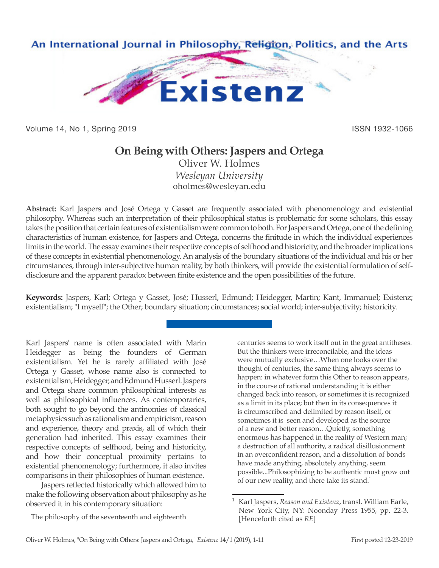

Volume 14, No 1, Spring 2019 **ISSN 1932-1066** ISSN 1932-1066

## **On Being with Others: Jaspers and Ortega**

Oliver W. Holmes *Wesleyan University* oholmes@wesleyan.edu

**Abstract:** Karl Jaspers and José Ortega y Gasset are frequently associated with phenomenology and existential philosophy. Whereas such an interpretation of their philosophical status is problematic for some scholars, this essay takes the position that certain features of existentialism were common to both. For Jaspers and Ortega, one of the defining characteristics of human existence, for Jaspers and Ortega, concerns the finitude in which the individual experiences limits in the world. The essay examines their respective concepts of selfhood and historicity, and the broader implications of these concepts in existential phenomenology. An analysis of the boundary situations of the individual and his or her circumstances, through inter-subjective human reality, by both thinkers, will provide the existential formulation of selfdisclosure and the apparent paradox between finite existence and the open possibilities of the future.

**Keywords:** Jaspers, Karl; Ortega y Gasset, José; Husserl, Edmund; Heidegger, Martin; Kant, Immanuel; Existenz; existentialism; "I myself"; the Other; boundary situation; circumstances; social world; inter-subjectivity; historicity.

Karl Jaspers' name is often associated with Marin Heidegger as being the founders of German existentialism. Yet he is rarely affiliated with José Ortega y Gasset, whose name also is connected to existentialism, Heidegger, and Edmund Husserl. Jaspers and Ortega share common philosophical interests as well as philosophical influences. As contemporaries, both sought to go beyond the antinomies of classical metaphysics such as rationalism and empiricism, reason and experience, theory and praxis, all of which their generation had inherited. This essay examines their respective concepts of selfhood, being and historicity, and how their conceptual proximity pertains to existential phenomenology; furthermore, it also invites comparisons in their philosophies of human existence.

Jaspers reflected historically which allowed him to make the following observation about philosophy as he observed it in his contemporary situation:

The philosophy of the seventeenth and eighteenth

centuries seems to work itself out in the great antitheses. But the thinkers were irreconcilable, and the ideas were mutually exclusive…When one looks over the thought of centuries, the same thing always seems to happen: in whatever form this Other to reason appears, in the course of rational understanding it is either changed back into reason, or sometimes it is recognized as a limit in its place; but then in its consequences it is circumscribed and delimited by reason itself, or sometimes it is seen and developed as the source of a new and better reason…Quietly, something enormous has happened in the reality of Western man; a destruction of all authority, a radical disillusionment in an overconfident reason, and a dissolution of bonds have made anything, absolutely anything, seem possible...Philosophizing to be authentic must grow out of our new reality, and there take its stand.1

<sup>1</sup> Karl Jaspers, *Reason and Existenz*, transl. William Earle, New York City, NY: Noonday Press 1955, pp. 22-3. [Henceforth cited as *RE*]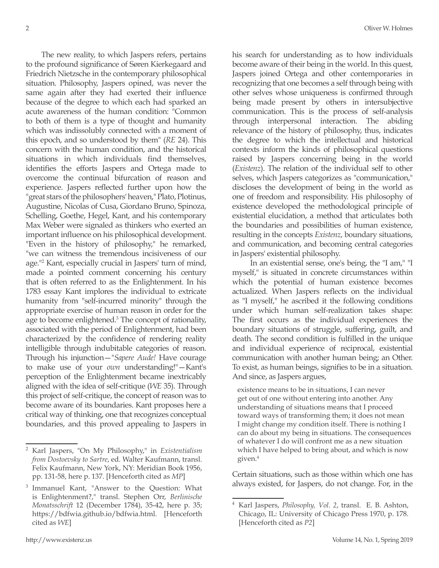The new reality, to which Jaspers refers, pertains to the profound significance of Søren Kierkegaard and Friedrich Nietzsche in the contemporary philosophical situation. Philosophy, Jaspers opined, was never the same again after they had exerted their influence because of the degree to which each had sparked an acute awareness of the human condition: "Common to both of them is a type of thought and humanity which was indissolubly connected with a moment of this epoch, and so understood by them" (*RE* 24). This concern with the human condition, and the historical situations in which individuals find themselves, identifies the efforts Jaspers and Ortega made to overcome the continual bifurcation of reason and experience. Jaspers reflected further upon how the "great stars of the philosophers' heaven," Plato, Plotinus, Augustine, Nicolas of Cusa, Giordano Bruno, Spinoza, Schelling, Goethe, Hegel, Kant, and his contemporary Max Weber were signaled as thinkers who exerted an important influence on his philosophical development. "Even in the history of philosophy," he remarked, "we can witness the tremendous incisiveness of our age."2 Kant, especially crucial in Jaspers' turn of mind, made a pointed comment concerning his century that is often referred to as the Enlightenment. In his 1783 essay Kant implores the individual to extricate humanity from "self-incurred minority" through the appropriate exercise of human reason in order for the age to become enlightened.<sup>3</sup> The concept of rationality, associated with the period of Enlightenment, had been characterized by the confidence of rendering reality intelligible through indubitable categories of reason. Through his injunction—"*Sapere Aude!* Have courage to make use of your *own* understanding!"—Kant's perception of the Enlightenment became inextricably aligned with the idea of self-critique (*WE* 35). Through this project of self-critique, the concept of reason was to become aware of its boundaries. Kant proposes here a critical way of thinking, one that recognizes conceptual boundaries, and this proved appealing to Jaspers in

his search for understanding as to how individuals become aware of their being in the world. In this quest, Jaspers joined Ortega and other contemporaries in recognizing that one becomes a self through being with other selves whose uniqueness is confirmed through being made present by others in intersubjective communication. This is the process of self-analysis through interpersonal interaction. The abiding relevance of the history of philosophy, thus, indicates the degree to which the intellectual and historical contexts inform the kinds of philosophical questions raised by Jaspers concerning being in the world (*Existenz*). The relation of the individual self to other selves, which Jaspers categorizes as "communication," discloses the development of being in the world as one of freedom and responsibility. His philosophy of existence developed the methodological principle of existential elucidation, a method that articulates both the boundaries and possibilities of human existence, resulting in the concepts *Existenz*, boundary situations, and communication, and becoming central categories in Jaspers' existential philosophy.

 In an existential sense, one's being, the "I am," "I myself," is situated in concrete circumstances within which the potential of human existence becomes actualized. When Jaspers reflects on the individual as "I myself," he ascribed it the following conditions under which human self-realization takes shape: The first occurs as the individual experiences the boundary situations of struggle, suffering, guilt, and death. The second condition is fulfilled in the unique and individual experience of reciprocal, existential communication with another human being; an Other. To exist, as human beings, signifies to be in a situation. And since, as Jaspers argues,

existence means to be in situations, I can never get out of one without entering into another. Any understanding of situations means that I proceed toward ways of transforming them; it does not mean I might change my condition itself. There is nothing I can do about my being in situations. The consequences of whatever I do will confront me as a new situation which I have helped to bring about, and which is now given.4

Certain situations, such as those within which one has always existed, for Jaspers, do not change. For, in the

<sup>2</sup> Karl Jaspers, "On My Philosophy," in *Existentialism from Dostoevsky to Sartre*, ed. Walter Kaufmann, transl. Felix Kaufmann, New York, NY: Meridian Book 1956, pp. 131-58, here p. 137. [Henceforth cited as *MP*]

<sup>3</sup> Immanuel Kant, "Answer to the Question: What is Enlightenment?," transl. Stephen Orr, *Berlinische Monatsschrift* 12 (December 1784), 35-42, here p. 35; https://bdfwia.github.io/bdfwia.html. [Henceforth cited as *WE*]

<sup>4</sup> Karl Jaspers, *Philosophy, Vol. 2*, transl. E. B. Ashton, Chicago, IL: University of Chicago Press 1970, p. 178. [Henceforth cited as *P2*]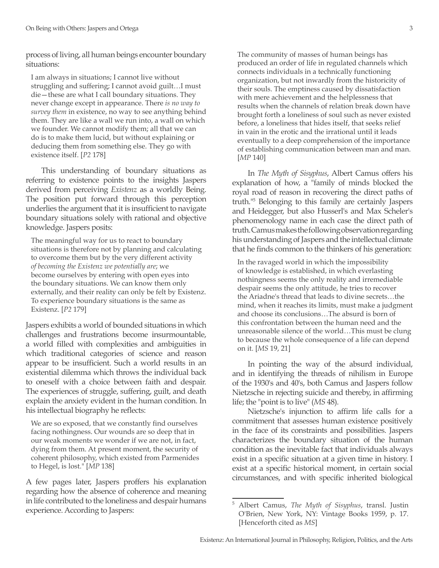process of living, all human beings encounter boundary situations:

I am always in situations; I cannot live without struggling and suffering; I cannot avoid guilt…I must die—these are what I call boundary situations. They never change except in appearance. There *is no way to survey them* in existence, no way to see anything behind them. They are like a wall we run into, a wall on which we founder. We cannot modify them; all that we can do is to make them lucid, but without explaining or deducing them from something else. They go with existence itself. [*P2* 178]

This understanding of boundary situations as referring to existence points to the insights Jaspers derived from perceiving *Existenz* as a worldly Being. The position put forward through this perception underlies the argument that it is insufficient to navigate boundary situations solely with rational and objective knowledge. Jaspers posits:

The meaningful way for us to react to boundary situations is therefore not by planning and calculating to overcome them but by the very different activity *of becoming the Existenz we potentially are*; we become ourselves by entering with open eyes into the boundary situations. We can know them only externally, and their reality can only be felt by Existenz. To experience boundary situations is the same as Existenz. [*P2* 179]

Jaspers exhibits a world of bounded situations in which challenges and frustrations become insurmountable, a world filled with complexities and ambiguities in which traditional categories of science and reason appear to be insufficient. Such a world results in an existential dilemma which throws the individual back to oneself with a choice between faith and despair. The experiences of struggle, suffering, guilt, and death explain the anxiety evident in the human condition. In his intellectual biography he reflects:

We are so exposed, that we constantly find ourselves facing nothingness. Our wounds are so deep that in our weak moments we wonder if we are not, in fact, dying from them. At present moment, the security of coherent philosophy, which existed from Parmenides to Hegel, is lost." [*MP* 138]

A few pages later, Jaspers proffers his explanation regarding how the absence of coherence and meaning in life contributed to the loneliness and despair humans experience. According to Jaspers:

The community of masses of human beings has produced an order of life in regulated channels which connects individuals in a technically functioning organization, but not inwardly from the historicity of their souls. The emptiness caused by dissatisfaction with mere achievement and the helplessness that results when the channels of relation break down have brought forth a loneliness of soul such as never existed before, a loneliness that hides itself, that seeks relief in vain in the erotic and the irrational until it leads eventually to a deep comprehension of the importance of establishing communication between man and man. [*MP* 140]

In *The Myth of Sisyphus*, Albert Camus offers his explanation of how, a "family of minds blocked the royal road of reason in recovering the direct paths of truth."5 Belonging to this family are certainly Jaspers and Heidegger, but also Husserl's and Max Scheler's phenomenology name in each case the direct path of truth. Camus makes the following observation regarding his understanding of Jaspers and the intellectual climate that he finds common to the thinkers of his generation:

In the ravaged world in which the impossibility of knowledge is established, in which everlasting nothingness seems the only reality and irremediable despair seems the only attitude, he tries to recover the Ariadne's thread that leads to divine secrets…the mind, when it reaches its limits, must make a judgment and choose its conclusions…The absurd is born of this confrontation between the human need and the unreasonable silence of the world…This must be clung to because the whole consequence of a life can depend on it. [*MS* 19, 21]

In pointing the way of the absurd individual, and in identifying the threads of nihilism in Europe of the 1930's and 40's, both Camus and Jaspers follow Nietzsche in rejecting suicide and thereby, in affirming life; the "point is to live" (*MS* 48).

Nietzsche's injunction to affirm life calls for a commitment that assesses human existence positively in the face of its constraints and possibilities. Jaspers characterizes the boundary situation of the human condition as the inevitable fact that individuals always exist in a specific situation at a given time in history. I exist at a specific historical moment, in certain social circumstances, and with specific inherited biological

<sup>5</sup> Albert Camus, *The Myth of Sisyphus*, transl. Justin O'Brien, New York, NY: Vintage Books 1959, p. 17. [Henceforth cited as *MS*]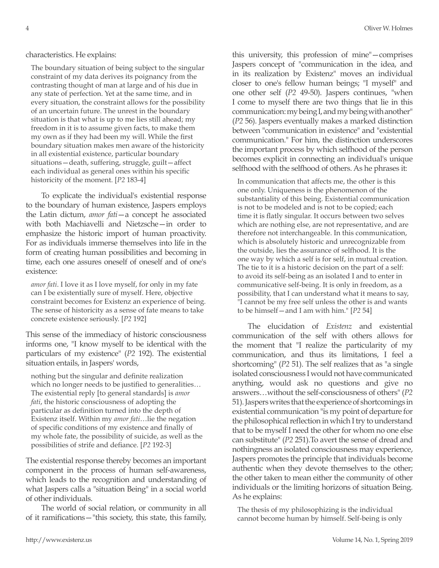## characteristics. He explains:

The boundary situation of being subject to the singular constraint of my data derives its poignancy from the contrasting thought of man at large and of his due in any state of perfection. Yet at the same time, and in every situation, the constraint allows for the possibility of an uncertain future. The unrest in the boundary situation is that what is up to me lies still ahead; my freedom in it is to assume given facts, to make them my own as if they had been my will. While the first boundary situation makes men aware of the historicity in all existential existence, particular boundary situations—death, suffering, struggle, guilt—affect each individual as general ones within his specific historicity of the moment. [*P2* 183-4]

To explicate the individual's existential response to the boundary of human existence, Jaspers employs the Latin dictum, *amor fati*—a concept he associated with both Machiavelli and Nietzsche—in order to emphasize the historic import of human proactivity. For as individuals immerse themselves into life in the form of creating human possibilities and becoming in time, each one assures oneself of oneself and of one's existence:

*amor fati*. I love it as I love myself, for only in my fate can I be existentially sure of myself. Here, objective constraint becomes for Existenz an experience of being. The sense of historicity as a sense of fate means to take concrete existence seriously. [*P2* 192]

This sense of the immediacy of historic consciousness informs one, "I know myself to be identical with the particulars of my existence" (*P2* 192). The existential situation entails, in Jaspers' words,

nothing but the singular and definite realization which no longer needs to be justified to generalities… The existential reply [to general standards] is *amor fati*, the historic consciousness of adopting the particular as definition turned into the depth of Existenz itself. Within my *amor fati*…lie the negation of specific conditions of my existence and finally of my whole fate, the possibility of suicide, as well as the possibilities of strife and defiance. [*P2* 192-3]

The existential response thereby becomes an important component in the process of human self-awareness, which leads to the recognition and understanding of what Jaspers calls a "situation Being" in a social world of other individuals.

The world of social relation, or community in all of it ramifications—"this society, this state, this family,

this university, this profession of mine"—comprises Jaspers concept of "communication in the idea, and in its realization by Existenz" moves an individual closer to one's fellow human beings; "I myself" and one other self (*P2* 49-50). Jaspers continues, "when I come to myself there are two things that lie in this communication: my being I, and my being with another" (*P2* 56). Jaspers eventually makes a marked distinction between "communication in existence" and "existential communication." For him, the distinction underscores the important process by which selfhood of the person becomes explicit in connecting an individual's unique selfhood with the selfhood of others. As he phrases it:

In communication that affects me, the other is this one only. Uniqueness is the phenomenon of the substantiality of this being. Existential communication is not to be modeled and is not to be copied; each time it is flatly singular. It occurs between two selves which are nothing else, are not representative, and are therefore not interchangeable. In this communication, which is absolutely historic and unrecognizable from the outside, lies the assurance of selfhood. It is the one way by which a self is for self, in mutual creation. The tie to it is a historic decision on the part of a self: to avoid its self-being as an isolated I and to enter in communicative self-being. It is only in freedom, as a possibility, that I can understand what it means to say, "I cannot be my free self unless the other is and wants to be himself—and I am with him." [*P2* 54]

The elucidation of *Existenz* and existential communication of the self with others allows for the moment that "I realize the particularity of my communication, and thus its limitations, I feel a shortcoming" (*P2* 51). The self realizes that as "a single isolated consciousness I would not have communicated anything, would ask no questions and give no answers…without the self-consciousness of others" (*P2*  51). Jaspers writes that the experience of shortcomings in existential communication "is my point of departure for the philosophical reflection in which I try to understand that to be myself I need the other for whom no one else can substitute" (*P2* 251).To avert the sense of dread and nothingness an isolated consciousness may experience, Jaspers promotes the principle that individuals become authentic when they devote themselves to the other; the other taken to mean either the community of other individuals or the limiting horizons of situation Being. As he explains:

The thesis of my philosophizing is the individual cannot become human by himself. Self-being is only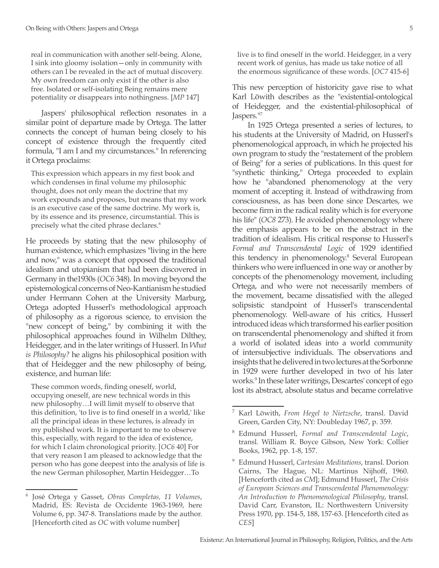real in communication with another self-being. Alone, I sink into gloomy isolation—only in community with others can I be revealed in the act of mutual discovery. My own freedom can only exist if the other is also free. Isolated or self-isolating Being remains mere potentiality or disappears into nothingness. [*MP* 147]

Jaspers' philosophical reflection resonates in a similar point of departure made by Ortega. The latter connects the concept of human being closely to his concept of existence through the frequently cited formula, "I am I and my circumstances." In referencing it Ortega proclaims:

This expression which appears in my first book and which condenses in final volume my philosophic thought, does not only mean the doctrine that my work expounds and proposes, but means that my work is an executive case of the same doctrine. My work is, by its essence and its presence, circumstantial. This is precisely what the cited phrase declares.<sup>6</sup>

He proceeds by stating that the new philosophy of human existence, which emphasizes "living in the here and now," was a concept that opposed the traditional idealism and utopianism that had been discovered in Germany in the1930s (*OC6* 348). In moving beyond the epistemological concerns of Neo-Kantianism he studied under Hermann Cohen at the University Marburg, Ortega adopted Husserl's methodological approach of philosophy as a rigorous science, to envision the "new concept of being," by combining it with the philosophical approaches found in Wilhelm Dilthey, Heidegger, and in the later writings of Husserl. In *What is Philosophy?* he aligns his philosophical position with that of Heidegger and the new philosophy of being, existence, and human life:

These common words, finding oneself, world, occupying oneself, are new technical words in this new philosophy…I will limit myself to observe that this definition, 'to live is to find oneself in a world,' like all the principal ideas in these lectures, is already in my published work. It is important to me to observe this, especially, with regard to the idea of existence, for which I claim chronological priority. [*OC6* 40] For that very reason I am pleased to acknowledge that the person who has gone deepest into the analysis of life is the new German philosopher, Martin Heidegger…To

live is to find oneself in the world. Heidegger, in a very recent work of genius, has made us take notice of all the enormous significance of these words. [*OC7* 415-6]

This new perception of historicity gave rise to what Karl Löwith describes as the "existential-ontological of Heidegger, and the existential-philosophical of Jaspers."7

In 1925 Ortega presented a series of lectures, to his students at the University of Madrid, on Husserl's phenomenological approach, in which he projected his own program to study the "restatement of the problem of Being" for a series of publications. In this quest for "synthetic thinking," Ortega proceeded to explain how he "abandoned phenomenology at the very moment of accepting it. Instead of withdrawing from consciousness, as has been done since Descartes, we become firm in the radical reality which is for everyone his life" (*OC8* 273). He avoided phenomenology where the emphasis appears to be on the abstract in the tradition of idealism. His critical response to Husserl's *Formal and Transcendental Logic* of 1929 identified this tendency in phenomenology.8 Several European thinkers who were influenced in one way or another by concepts of the phenomenology movement, including Ortega, and who were not necessarily members of the movement, became dissatisfied with the alleged solipsistic standpoint of Husserl's transcendental phenomenology. Well-aware of his critics, Husserl introduced ideas which transformed his earlier position on transcendental phenomenology and shifted it from a world of isolated ideas into a world community of intersubjective individuals. The observations and insights that he delivered in two lectures at the Sorbonne in 1929 were further developed in two of his later works.9 In these later writings, Descartes' concept of ego lost its abstract, absolute status and became correlative

<sup>6</sup> José Ortega y Gasset, *Obras Completas, 11 Volumes*, Madrid, ES: Revista de Occidente 1963-1969, here Volume 6, pp. 347-8. Translations made by the author. [Henceforth cited as *OC* with volume number]

<sup>7</sup> Karl Löwith, *From Hegel to Nietzsche*, transl. David Green, Garden City, NY: Doubleday 1967, p. 359.

<sup>8</sup> Edmund Husserl, *Formal and Transcendental Logic*, transl. William R. Boyce Gibson, New York: Collier Books, 1962, pp. 1-8, 157.

<sup>9</sup> Edmund Husserl, *Cartesian Meditations*, transl. Dorion Cairns, The Hague, NL: Martinus Nijhoff, 1960. [Henceforth cited as *CM*]; Edmund Husserl, *The Crisis of European Sciences and Transcendental Phenomenology: An Introduction to Phenomenological Philosophy*, transl. David Carr, Evanston, IL: Northwestern University Press 1970, pp. 154-5, 188, 157-63. [Henceforth cited as *CES*]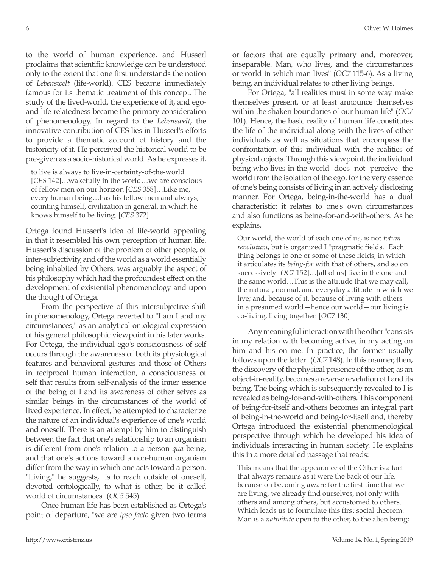to the world of human experience, and Husserl proclaims that scientific knowledge can be understood only to the extent that one first understands the notion of *Lebenswelt* (life-world). CES became immediately famous for its thematic treatment of this concept. The study of the lived-world, the experience of it, and egoand-life-relatedness became the primary consideration of phenomenology. In regard to the *Lebenswelt*, the innovative contribution of CES lies in Husserl's efforts to provide a thematic account of history and the historicity of it. He perceived the historical world to be pre-given as a socio-historical world. As he expresses it,

to live is always to live-in-certainty-of-the-world [*CES* 142]…wakefully in the world…we are conscious of fellow men on our horizon [*CES* 358]…Like me, every human being…has his fellow men and always, counting himself, civilization in general, in which he knows himself to be living. [*CES* 372]

Ortega found Husserl's idea of life-world appealing in that it resembled his own perception of human life. Husserl's discussion of the problem of other people, of inter-subjectivity, and of the world as a world essentially being inhabited by Others, was arguably the aspect of his philosophy which had the profoundest effect on the development of existential phenomenology and upon the thought of Ortega.

From the perspective of this intersubjective shift in phenomenology, Ortega reverted to "I am I and my circumstances," as an analytical ontological expression of his general philosophic viewpoint in his later works. For Ortega, the individual ego's consciousness of self occurs through the awareness of both its physiological features and behavioral gestures and those of Others in reciprocal human interaction, a consciousness of self that results from self-analysis of the inner essence of the being of I and its awareness of other selves as similar beings in the circumstances of the world of lived experience. In effect, he attempted to characterize the nature of an individual's experience of one's world and oneself. There is an attempt by him to distinguish between the fact that one's relationship to an organism is different from one's relation to a person *qua* being, and that one's actions toward a non-human organism differ from the way in which one acts toward a person. "Living," he suggests, "is to reach outside of oneself, devoted ontologically, to what is other, be it called world of circumstances" (*OC5* 545).

Once human life has been established as Ortega's point of departure, "we are *ipso facto* given two terms or factors that are equally primary and, moreover, inseparable. Man, who lives, and the circumstances or world in which man lives" (*OC7* 115-6). As a living being, an individual relates to other living beings.

For Ortega, "all realities must in some way make themselves present, or at least announce themselves within the shaken boundaries of our human life" (*OC7* 101). Hence, the basic reality of human life constitutes the life of the individual along with the lives of other individuals as well as situations that encompass the confrontation of this individual with the realities of physical objects. Through this viewpoint, the individual being-who-lives-in-the-world does not perceive the world from the isolation of the ego, for the very essence of one's being consists of living in an actively disclosing manner. For Ortega, being-in-the-world has a dual characteristic: it relates to one's own circumstances and also functions as being-for-and-with-others. As he explains,

Our world, the world of each one of us, is not *totum revolutum*, but is organized I "pragmatic fields." Each thing belongs to one or some of these fields, in which it articulates its *being-for* with that of others, and so on successively [*OC7* 152]…[all of us] live in the one and the same world…This is the attitude that we may call, the natural, normal, and everyday attitude in which we live; and, because of it, because of living with others in a presumed world—hence our world—our living is co-living, living together. [*OC7* 130]

Any meaningful interaction with the other "consists in my relation with becoming active, in my acting on him and his on me. In practice, the former usually follows upon the latter" (*OC7* 148). In this manner, then, the discovery of the physical presence of the other, as an object-in-reality, becomes a reverse revelation of I and its being. The being which is subsequently revealed to I is revealed as being-for-and-with-others. This component of being-for-itself and-others becomes an integral part of being-in-the-world and being-for-itself and, thereby Ortega introduced the existential phenomenological perspective through which he developed his idea of individuals interacting in human society. He explains this in a more detailed passage that reads:

This means that the appearance of the Other is a fact that always remains as it were the back of our life, because on becoming aware for the first time that we are living, we already find ourselves, not only with others and among others, but accustomed to others. Which leads us to formulate this first social theorem: Man is a *nativitate* open to the other, to the alien being;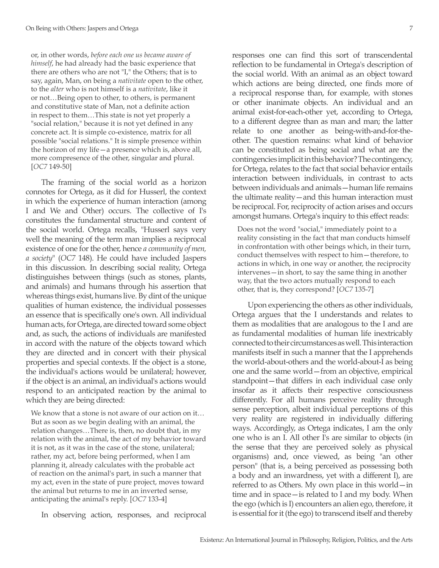or, in other words, *before each one us became aware of himself*, he had already had the basic experience that there are others who are not "I," the Others; that is to say, again, Man, on being a *nativitate* open to the other, to the *alter* who is not himself is a *nativitate*, like it or not…Being open to other, to others, is permanent and constitutive state of Man, not a definite action in respect to them…This state is not yet properly a "social relation," because it is not yet defined in any concrete act. It is simple co-existence, matrix for all possible "social relations." It is simple presence within the horizon of my life—a presence which is, above all, more compresence of the other, singular and plural. [*OC7* 149-50]

The framing of the social world as a horizon connotes for Ortega, as it did for Husserl, the context in which the experience of human interaction (among I and We and Other) occurs. The collective of I's constitutes the fundamental structure and content of the social world. Ortega recalls, "Husserl says very well the meaning of the term man implies a reciprocal existence of one for the other, hence *a community of men, a society*" (*OC7* 148). He could have included Jaspers in this discussion. In describing social reality, Ortega distinguishes between things (such as stones, plants, and animals) and humans through his assertion that whereas things exist, humans live. By dint of the unique qualities of human existence, the individual possesses an essence that is specifically one's own. All individual human acts, for Ortega, are directed toward some object and, as such, the actions of individuals are manifested in accord with the nature of the objects toward which they are directed and in concert with their physical properties and special contexts. If the object is a stone, the individual's actions would be unilateral; however, if the object is an animal, an individual's actions would respond to an anticipated reaction by the animal to which they are being directed:

We know that a stone is not aware of our action on it… But as soon as we begin dealing with an animal, the relation changes…There is, then, no doubt that, in my relation with the animal, the act of my behavior toward it is not, as it was in the case of the stone, unilateral; rather, my act, before being performed, when I am planning it, already calculates with the probable act of reaction on the animal's part, in such a manner that my act, even in the state of pure project, moves toward the animal but returns to me in an inverted sense, anticipating the animal's reply. [*OC7* 133-4]

In observing action, responses, and reciprocal

responses one can find this sort of transcendental reflection to be fundamental in Ortega's description of the social world. With an animal as an object toward which actions are being directed, one finds more of a reciprocal response than, for example, with stones or other inanimate objects. An individual and an animal exist-for-each-other yet, according to Ortega, to a different degree than as man and man; the latter relate to one another as being-with-and-for-theother. The question remains: what kind of behavior can be constituted as being social and what are the contingencies implicit in this behavior? The contingency, for Ortega, relates to the fact that social behavior entails interaction between individuals, in contrast to acts between individuals and animals—human life remains the ultimate reality—and this human interaction must be reciprocal. For, reciprocity of action arises and occurs amongst humans. Ortega's inquiry to this effect reads:

Does not the word "social," immediately point to a reality consisting in the fact that man conducts himself in confrontation with other beings which, in their turn, conduct themselves with respect to him—therefore, to actions in which, in one way or another, the reciprocity intervenes—in short, to say the same thing in another way, that the two actors mutually respond to each other, that is, they correspond? [*OC7* 135-7]

Upon experiencing the others as other individuals, Ortega argues that the I understands and relates to them as modalities that are analogous to the I and are as fundamental modalities of human life inextricably connected to their circumstances as well. This interaction manifests itself in such a manner that the I apprehends the world-about-others and the world-about-I as being one and the same world—from an objective, empirical standpoint—that differs in each individual case only insofar as it affects their respective consciousness differently. For all humans perceive reality through sense perception, albeit individual perceptions of this very reality are registered in individually differing ways. Accordingly, as Ortega indicates, I am the only one who is an I. All other I's are similar to objects (in the sense that they are perceived solely as physical organisms) and, once viewed, as being "an other person" (that is, a being perceived as possessing both a body and an inwardness, yet with a different I), are referred to as Others. My own place in this world—in time and in space—is related to I and my body. When the ego (which is I) encounters an alien ego, therefore, it is essential for it (the ego) to transcend itself and thereby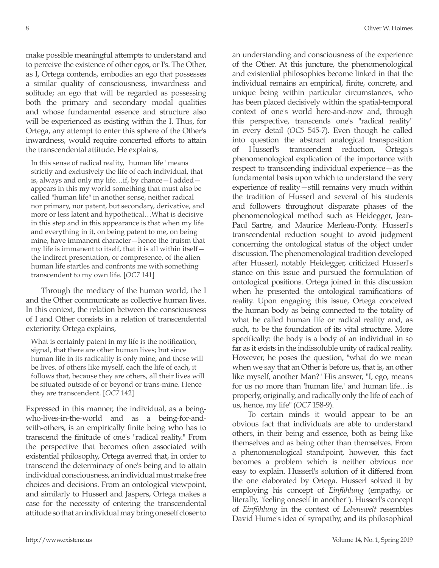make possible meaningful attempts to understand and to perceive the existence of other egos, or I's. The Other, as I, Ortega contends, embodies an ego that possesses a similar quality of consciousness, inwardness and solitude; an ego that will be regarded as possessing both the primary and secondary modal qualities and whose fundamental essence and structure also will be experienced as existing within the I. Thus, for Ortega, any attempt to enter this sphere of the Other's inwardness, would require concerted efforts to attain the transcendental attitude. He explains,

In this sense of radical reality, "human life" means strictly and exclusively the life of each individual, that is, always and only my life…if, by chance—I added appears in this my world something that must also be called "human life" in another sense, neither radical nor primary, nor patent, but secondary, derivative, and more or less latent and hypothetical…What is decisive in this step and in this appearance is that when my life and everything in it, on being patent to me, on being mine, have immanent character—hence the truism that my life is immanent to itself, that it is all within itself the indirect presentation, or compresence, of the alien human life startles and confronts me with something transcendent to my own life. [*OC7* 141]

Through the mediacy of the human world, the I and the Other communicate as collective human lives. In this context, the relation between the consciousness of I and Other consists in a relation of transcendental exteriority. Ortega explains,

What is certainly patent in my life is the notification, signal, that there are other human lives; but since human life in its radicality is only mine, and these will be lives, of others like myself, each the life of each, it follows that, because they are others, all their lives will be situated outside of or beyond or trans-mine. Hence they are transcendent. [*OC7* 142]

Expressed in this manner, the individual, as a beingwho-lives-in-the-world and as a being-for-andwith-others, is an empirically finite being who has to transcend the finitude of one's "radical reality." From the perspective that becomes often associated with existential philosophy, Ortega averred that, in order to transcend the determinacy of one's being and to attain individual consciousness, an individual must make free choices and decisions. From an ontological viewpoint, and similarly to Husserl and Jaspers, Ortega makes a case for the necessity of entering the transcendental attitude so that an individual may bring oneself closer to an understanding and consciousness of the experience of the Other. At this juncture, the phenomenological and existential philosophies become linked in that the individual remains an empirical, finite, concrete, and unique being within particular circumstances, who has been placed decisively within the spatial-temporal context of one's world here-and-now and, through this perspective, transcends one's "radical reality" in every detail (*OC5* 545-7). Even though he called into question the abstract analogical transposition of Husserl's transcendent reduction, Ortega's phenomenological explication of the importance with respect to transcending individual experience—as the fundamental basis upon which to understand the very experience of reality—still remains very much within the tradition of Husserl and several of his students and followers throughout disparate phases of the phenomenological method such as Heidegger, Jean-Paul Sartre, and Maurice Merleau-Ponty. Husserl's transcendental reduction sought to avoid judgment concerning the ontological status of the object under discussion. The phenomenological tradition developed after Husserl, notably Heidegger, criticized Husserl's stance on this issue and pursued the formulation of ontological positions. Ortega joined in this discussion when he presented the ontological ramifications of reality. Upon engaging this issue, Ortega conceived the human body as being connected to the totality of what he called human life or radical reality and, as such, to be the foundation of its vital structure. More specifically: the body is a body of an individual in so far as it exists in the indissoluble unity of radical reality. However, he poses the question, "what do we mean when we say that an Other is before us, that is, an other like myself, another Man?" His answer, "I, ego, means for us no more than 'human life,' and human life…is properly, originally, and radically only the life of each of us, hence, my life" (*OC7* 158-9).

To certain minds it would appear to be an obvious fact that individuals are able to understand others, in their being and essence, both as being like themselves and as being other than themselves. From a phenomenological standpoint, however, this fact becomes a problem which is neither obvious nor easy to explain. Husserl's solution of it differed from the one elaborated by Ortega. Husserl solved it by employing his concept of *Einfühlung* (empathy, or literally, "feeling oneself in another"). Husserl's concept of *Einfühlung* in the context of *Lebenswelt* resembles David Hume's idea of sympathy, and its philosophical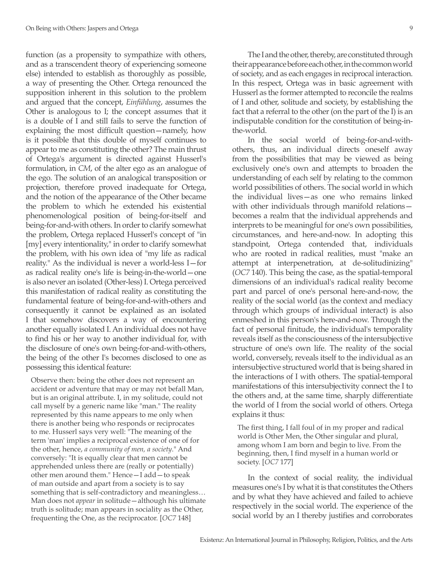function (as a propensity to sympathize with others, and as a transcendent theory of experiencing someone else) intended to establish as thoroughly as possible, a way of presenting the Other. Ortega renounced the supposition inherent in this solution to the problem and argued that the concept, *Einfühlung*, assumes the Other is analogous to I; the concept assumes that it is a double of I and still fails to serve the function of explaining the most difficult question—namely, how is it possible that this double of myself continues to appear to me as constituting the other? The main thrust of Ortega's argument is directed against Husserl's formulation, in *CM*, of the alter ego as an analogue of the ego. The solution of an analogical transposition or projection, therefore proved inadequate for Ortega, and the notion of the appearance of the Other became the problem to which he extended his existential phenomenological position of being-for-itself and being-for-and-with others. In order to clarify somewhat the problem, Ortega replaced Husserl's concept of "in [my] every intentionality," in order to clarify somewhat the problem, with his own idea of "my life as radical reality." As the individual is never a world-less I—for as radical reality one's life is being-in-the-world—one is also never an isolated (Other-less) I. Ortega perceived this manifestation of radical reality as constituting the fundamental feature of being-for-and-with-others and consequently it cannot be explained as an isolated I that somehow discovers a way of encountering another equally isolated I. An individual does not have to find his or her way to another individual for, with the disclosure of one's own being-for-and-with-others, the being of the other I's becomes disclosed to one as possessing this identical feature:

Observe then: being the other does not represent an accident or adventure that may or may not befall Man, but is an original attribute. I, in my solitude, could not call myself by a generic name like "man." The reality represented by this name appears to me only when there is another being who responds or reciprocates to me. Husserl says very well: "The meaning of the term 'man' implies a reciprocal existence of one of for the other, hence, *a community of men, a society*." And conversely: "It is equally clear that men cannot be apprehended unless there are (really or potentially) other men around them." Hence—I add—to speak of man outside and apart from a society is to say something that is self-contradictory and meaningless… Man does not *appear* in solitude—although his ultimate truth is solitude; man appears in sociality as the Other, frequenting the One, as the reciprocator. [*OC7* 148]

The I and the other, thereby, are constituted through their appearance before each other, in the common world of society, and as each engages in reciprocal interaction. In this respect, Ortega was in basic agreement with Husserl as the former attempted to reconcile the realms of I and other, solitude and society, by establishing the fact that a referral to the other (on the part of the I) is an indisputable condition for the constitution of being-inthe-world.

In the social world of being-for-and-withothers, thus, an individual directs oneself away from the possibilities that may be viewed as being exclusively one's own and attempts to broaden the understanding of each self by relating to the common world possibilities of others. The social world in which the individual lives—as one who remains linked with other individuals through manifold relationsbecomes a realm that the individual apprehends and interprets to be meaningful for one's own possibilities, circumstances, and here-and-now. In adopting this standpoint, Ortega contended that, individuals who are rooted in radical realities, must "make an attempt at interpenetration, at de-solitudinizing" (*OC7* 140). This being the case, as the spatial-temporal dimensions of an individual's radical reality become part and parcel of one's personal here-and-now, the reality of the social world (as the context and mediacy through which groups of individual interact) is also enmeshed in this person's here-and-now. Through the fact of personal finitude, the individual's temporality reveals itself as the consciousness of the intersubjective structure of one's own life. The reality of the social world, conversely, reveals itself to the individual as an intersubjective structured world that is being shared in the interactions of I with others. The spatial-temporal manifestations of this intersubjectivity connect the I to the others and, at the same time, sharply differentiate the world of I from the social world of others. Ortega explains it thus:

The first thing, I fall foul of in my proper and radical world is Other Men, the Other singular and plural, among whom I am born and begin to live. From the beginning, then, I find myself in a human world or society. [*OC7* 177]

In the context of social reality, the individual measures one's I by what it is that constitutes the Others and by what they have achieved and failed to achieve respectively in the social world. The experience of the social world by an I thereby justifies and corroborates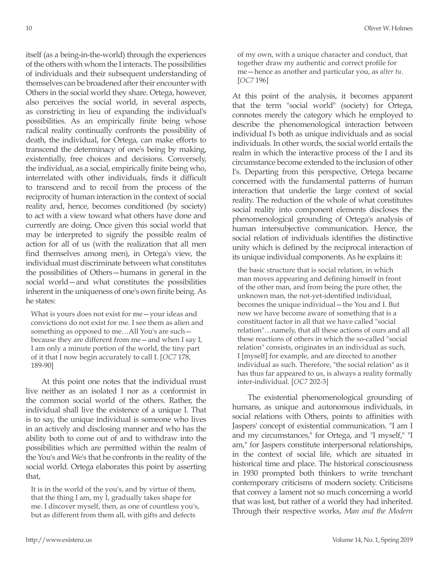itself (as a being-in-the-world) through the experiences of the others with whom the I interacts. The possibilities of individuals and their subsequent understanding of themselves can be broadened after their encounter with Others in the social world they share. Ortega, however, also perceives the social world, in several aspects, as constricting in lieu of expanding the individual's possibilities. As an empirically finite being whose radical reality continually confronts the possibility of death, the individual, for Ortega, can make efforts to transcend the determinacy of one's being by making, existentially, free choices and decisions. Conversely, the individual, as a social, empirically finite being who, interrelated with other individuals, finds it difficult to transcend and to recoil from the process of the reciprocity of human interaction in the context of social reality and, hence, becomes conditioned (by society) to act with a view toward what others have done and currently are doing. Once given this social world that may be interpreted to signify the possible realm of action for all of us (with the realization that all men find themselves among men), in Ortega's view, the individual must discriminate between what constitutes the possibilities of Others—humans in general in the social world—and what constitutes the possibilities inherent in the uniqueness of one's own finite being. As he states:

What is yours does not exist for me—your ideas and convictions do not exist for me. I see them as alien and something as opposed to me…All You's are such because they are different from me—and when I say I, I am only a minute portion of the world, the tiny part of it that I now begin accurately to call I. [*OC7* 178, 189-90]

At this point one notes that the individual must live neither as an isolated I nor as a conformist in the common social world of the others. Rather, the individual shall live the existence of a unique I. That is to say, the unique individual is someone who lives in an actively and disclosing manner and who has the ability both to come out of and to withdraw into the possibilities which are permitted within the realm of the You's and We's that he confronts in the reality of the social world. Ortega elaborates this point by asserting that,

It is in the world of the you's, and by virtue of them, that the thing I am, my I, gradually takes shape for me. I discover myself, then, as one of countless you's, but as different from them all, with gifts and defects

of my own, with a unique character and conduct, that together draw my authentic and correct profile for me—hence as another and particular you, as *alter tu*. [*OC7* 196]

At this point of the analysis, it becomes apparent that the term "social world" (society) for Ortega, connotes merely the category which he employed to describe the phenomenological interaction between individual I's both as unique individuals and as social individuals. In other words, the social world entails the realm in which the interactive process of the I and its circumstance become extended to the inclusion of other I's. Departing from this perspective, Ortega became concerned with the fundamental patterns of human interaction that underlie the large context of social reality. The reduction of the whole of what constitutes social reality into component elements discloses the phenomenological grounding of Ortega's analysis of human intersubjective communication. Hence, the social relation of individuals identifies the distinctive unity which is defined by the reciprocal interaction of its unique individual components. As he explains it:

the basic structure that is social relation, in which man moves appearing and defining himself in front of the other man, and from being the pure other, the unknown man, the not-yet-identified individual, becomes the unique individual—the You and I. But now we have become aware of something that is a constituent factor in all that we have called "social relation"…namely, that all these actions of ours and all these reactions of others in which the so-called "social relation" consists, originates in an individual as such, I [myself] for example, and are directed to another individual as such. Therefore, "the social relation" as it has thus far appeared to us, is always a reality formally inter-individual. [*OC7* 202-3]

The existential phenomenological grounding of humans, as unique and autonomous individuals, in social relations with Others, points to affinities with Jaspers' concept of existential communication. "I am I and my circumstances," for Ortega, and "I myself," "I am," for Jaspers constitute interpersonal relationships, in the context of social life, which are situated in historical time and place. The historical consciousness in 1930 prompted both thinkers to write trenchant contemporary criticisms of modern society. Criticisms that convey a lament not so much concerning a world that was lost, but rather of a world they had inherited. Through their respective works, *Man and the Modern*